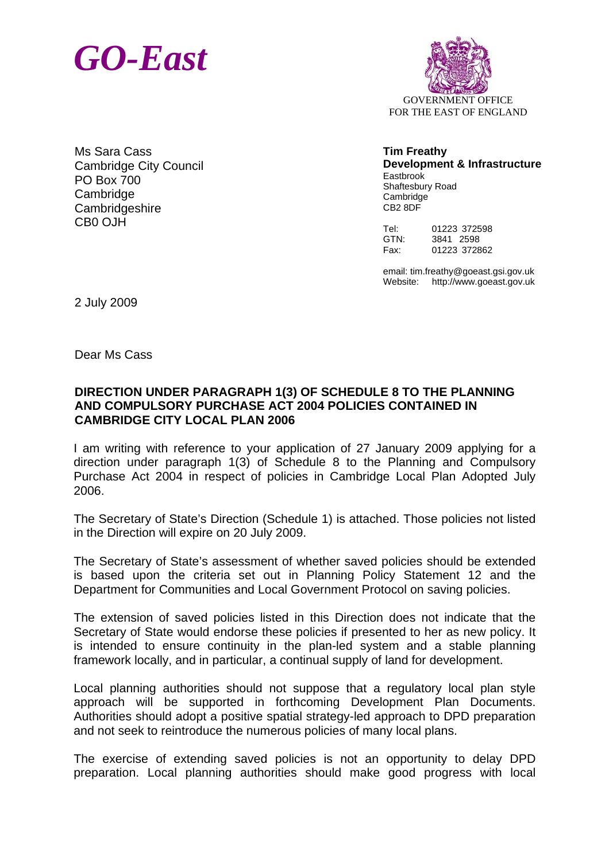



Ms Sara Cass Cambridge City Council PO Box 700 **Cambridge Cambridgeshire** CB0 OJH

**Tim Freathy Development & Infrastructure**  Eastbrook Shaftesbury Road **Cambridge** CB2 8DF

Tel: 01223 372598 GTN: 3841 2598 Fax: 01223 372862

email: tim.freathy@goeast.gsi.gov.uk Website: http://www.goeast.gov.uk

2 July 2009

Dear Ms Cass

## **DIRECTION UNDER PARAGRAPH 1(3) OF SCHEDULE 8 TO THE PLANNING AND COMPULSORY PURCHASE ACT 2004 POLICIES CONTAINED IN CAMBRIDGE CITY LOCAL PLAN 2006**

I am writing with reference to your application of 27 January 2009 applying for a direction under paragraph 1(3) of Schedule 8 to the Planning and Compulsory Purchase Act 2004 in respect of policies in Cambridge Local Plan Adopted July 2006.

The Secretary of State's Direction (Schedule 1) is attached. Those policies not listed in the Direction will expire on 20 July 2009.

The Secretary of State's assessment of whether saved policies should be extended is based upon the criteria set out in Planning Policy Statement 12 and the Department for Communities and Local Government Protocol on saving policies.

The extension of saved policies listed in this Direction does not indicate that the Secretary of State would endorse these policies if presented to her as new policy. It is intended to ensure continuity in the plan-led system and a stable planning framework locally, and in particular, a continual supply of land for development.

Local planning authorities should not suppose that a regulatory local plan style approach will be supported in forthcoming Development Plan Documents. Authorities should adopt a positive spatial strategy-led approach to DPD preparation and not seek to reintroduce the numerous policies of many local plans.

The exercise of extending saved policies is not an opportunity to delay DPD preparation. Local planning authorities should make good progress with local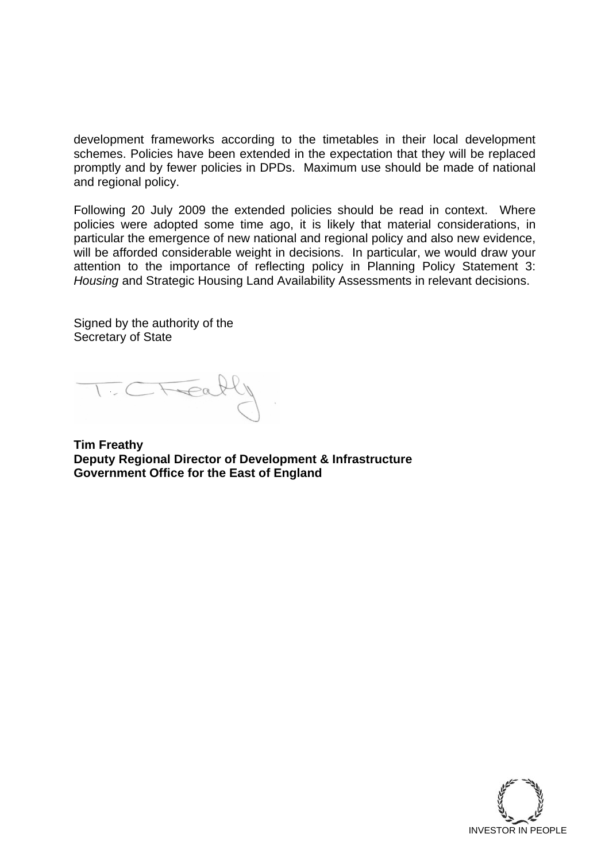development frameworks according to the timetables in their local development schemes. Policies have been extended in the expectation that they will be replaced promptly and by fewer policies in DPDs. Maximum use should be made of national and regional policy.

Following 20 July 2009 the extended policies should be read in context. Where policies were adopted some time ago, it is likely that material considerations, in particular the emergence of new national and regional policy and also new evidence, will be afforded considerable weight in decisions. In particular, we would draw your attention to the importance of reflecting policy in Planning Policy Statement 3: *Housing* and Strategic Housing Land Availability Assessments in relevant decisions.

Signed by the authority of the Secretary of State

**Tim Freathy Deputy Regional Director of Development & Infrastructure Government Office for the East of England** 

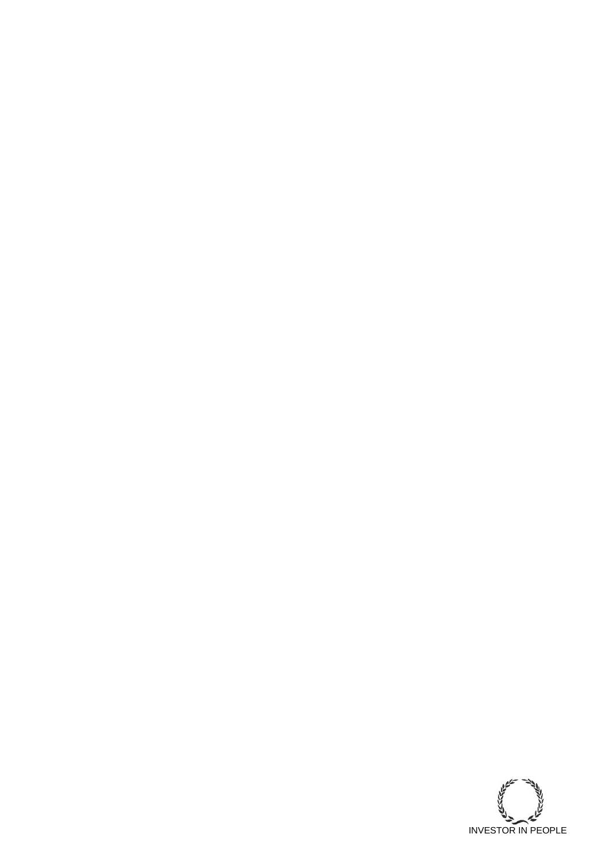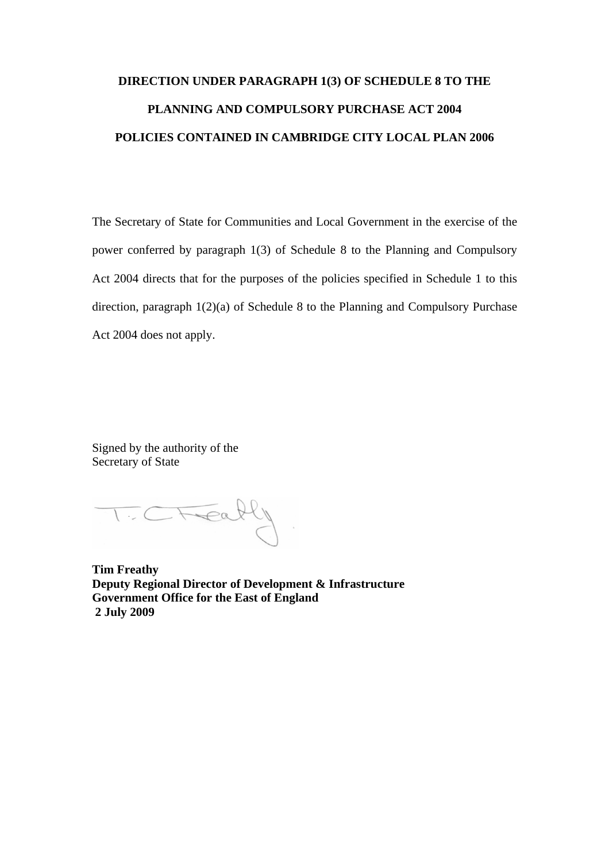## **DIRECTION UNDER PARAGRAPH 1(3) OF SCHEDULE 8 TO THE PLANNING AND COMPULSORY PURCHASE ACT 2004 POLICIES CONTAINED IN CAMBRIDGE CITY LOCAL PLAN 2006**

The Secretary of State for Communities and Local Government in the exercise of the power conferred by paragraph 1(3) of Schedule 8 to the Planning and Compulsory Act 2004 directs that for the purposes of the policies specified in Schedule 1 to this direction, paragraph 1(2)(a) of Schedule 8 to the Planning and Compulsory Purchase Act 2004 does not apply.

Signed by the authority of the Secretary of State

TCTEally

**Tim Freathy Deputy Regional Director of Development & Infrastructure Government Office for the East of England 2 July 2009**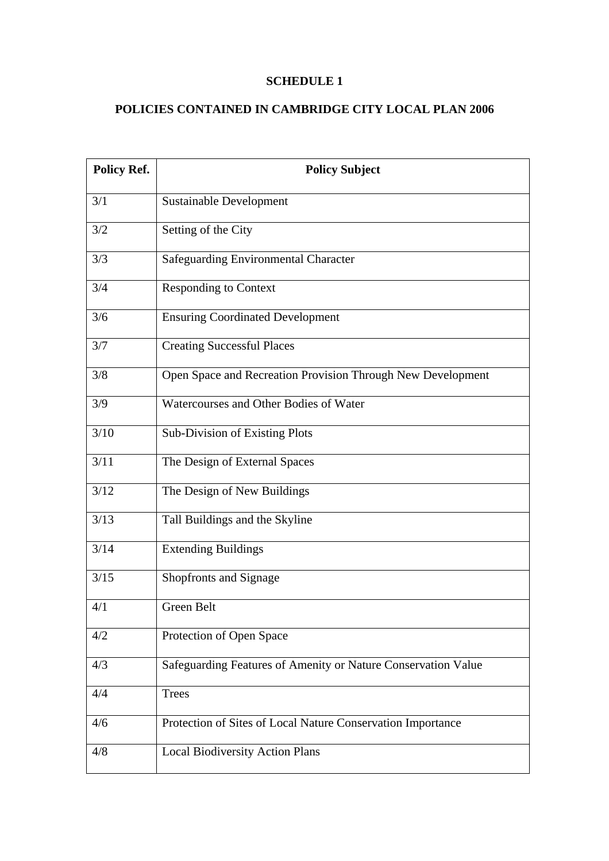## **SCHEDULE 1**

## **POLICIES CONTAINED IN CAMBRIDGE CITY LOCAL PLAN 2006**

| <b>Policy Ref.</b> | <b>Policy Subject</b>                                         |
|--------------------|---------------------------------------------------------------|
| 3/1                | <b>Sustainable Development</b>                                |
| 3/2                | Setting of the City                                           |
| 3/3                | <b>Safeguarding Environmental Character</b>                   |
| 3/4                | <b>Responding to Context</b>                                  |
| 3/6                | <b>Ensuring Coordinated Development</b>                       |
| 3/7                | <b>Creating Successful Places</b>                             |
| 3/8                | Open Space and Recreation Provision Through New Development   |
| 3/9                | Watercourses and Other Bodies of Water                        |
| 3/10               | Sub-Division of Existing Plots                                |
| 3/11               | The Design of External Spaces                                 |
| 3/12               | The Design of New Buildings                                   |
| 3/13               | Tall Buildings and the Skyline                                |
| 3/14               | <b>Extending Buildings</b>                                    |
| 3/15               | Shopfronts and Signage                                        |
| 4/1                | Green Belt                                                    |
| 4/2                | Protection of Open Space                                      |
| 4/3                | Safeguarding Features of Amenity or Nature Conservation Value |
| 4/4                | <b>Trees</b>                                                  |
| 4/6                | Protection of Sites of Local Nature Conservation Importance   |
| 4/8                | <b>Local Biodiversity Action Plans</b>                        |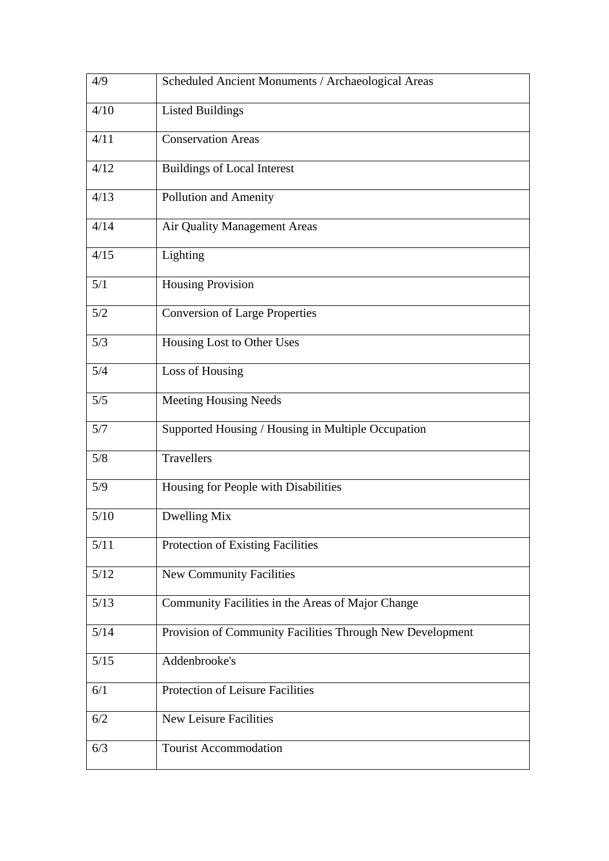| 4/9    | Scheduled Ancient Monuments / Archaeological Areas        |
|--------|-----------------------------------------------------------|
| 4/10   | <b>Listed Buildings</b>                                   |
| 4/11   | <b>Conservation Areas</b>                                 |
| 4/12   | <b>Buildings of Local Interest</b>                        |
| 4/13   | <b>Pollution and Amenity</b>                              |
| 4/14   | Air Quality Management Areas                              |
| 4/15   | Lighting                                                  |
| 5/1    | Housing Provision                                         |
| 5/2    | <b>Conversion of Large Properties</b>                     |
| 5/3    | Housing Lost to Other Uses                                |
| 5/4    | Loss of Housing                                           |
| 5/5    | <b>Meeting Housing Needs</b>                              |
| 5/7    | Supported Housing / Housing in Multiple Occupation        |
| 5/8    | <b>Travellers</b>                                         |
| 5/9    | Housing for People with Disabilities                      |
| 5/10   | Dwelling Mix                                              |
| $5/11$ | Protection of Existing Facilities                         |
| 5/12   | <b>New Community Facilities</b>                           |
| 5/13   | Community Facilities in the Areas of Major Change         |
| 5/14   | Provision of Community Facilities Through New Development |
| $5/15$ | Addenbrooke's                                             |
| 6/1    | Protection of Leisure Facilities                          |
| 6/2    | <b>New Leisure Facilities</b>                             |
| 6/3    | <b>Tourist Accommodation</b>                              |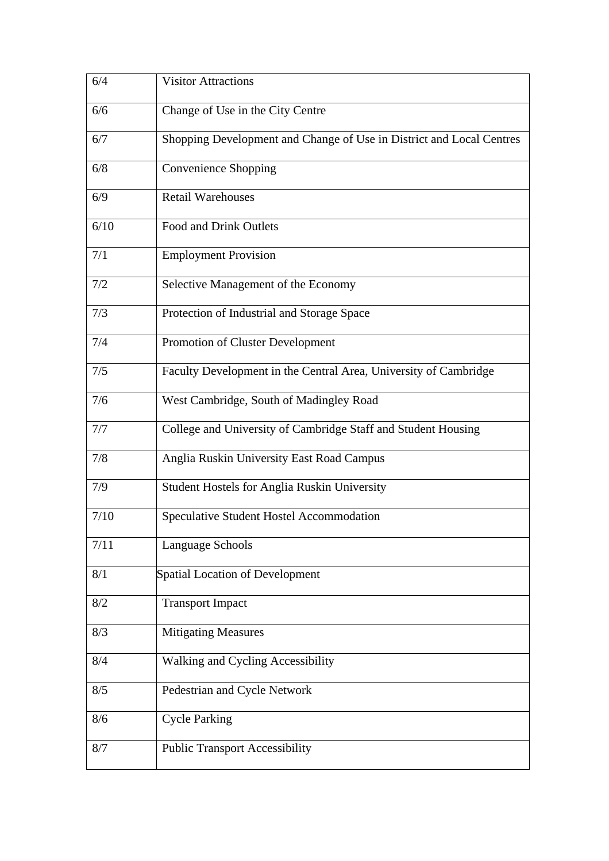| 6/4  | <b>Visitor Attractions</b>                                           |
|------|----------------------------------------------------------------------|
| 6/6  | Change of Use in the City Centre                                     |
| 6/7  | Shopping Development and Change of Use in District and Local Centres |
| 6/8  | Convenience Shopping                                                 |
| 6/9  | <b>Retail Warehouses</b>                                             |
| 6/10 | Food and Drink Outlets                                               |
| 7/1  | <b>Employment Provision</b>                                          |
| 7/2  | Selective Management of the Economy                                  |
| 7/3  | Protection of Industrial and Storage Space                           |
| 7/4  | Promotion of Cluster Development                                     |
| 7/5  | Faculty Development in the Central Area, University of Cambridge     |
| 7/6  | West Cambridge, South of Madingley Road                              |
| 7/7  | College and University of Cambridge Staff and Student Housing        |
| 7/8  | Anglia Ruskin University East Road Campus                            |
| 7/9  | <b>Student Hostels for Anglia Ruskin University</b>                  |
| 7/10 | <b>Speculative Student Hostel Accommodation</b>                      |
| 7/11 | Language Schools                                                     |
| 8/1  | Spatial Location of Development                                      |
| 8/2  | <b>Transport Impact</b>                                              |
| 8/3  | <b>Mitigating Measures</b>                                           |
| 8/4  | Walking and Cycling Accessibility                                    |
| 8/5  | Pedestrian and Cycle Network                                         |
| 8/6  | <b>Cycle Parking</b>                                                 |
| 8/7  | <b>Public Transport Accessibility</b>                                |